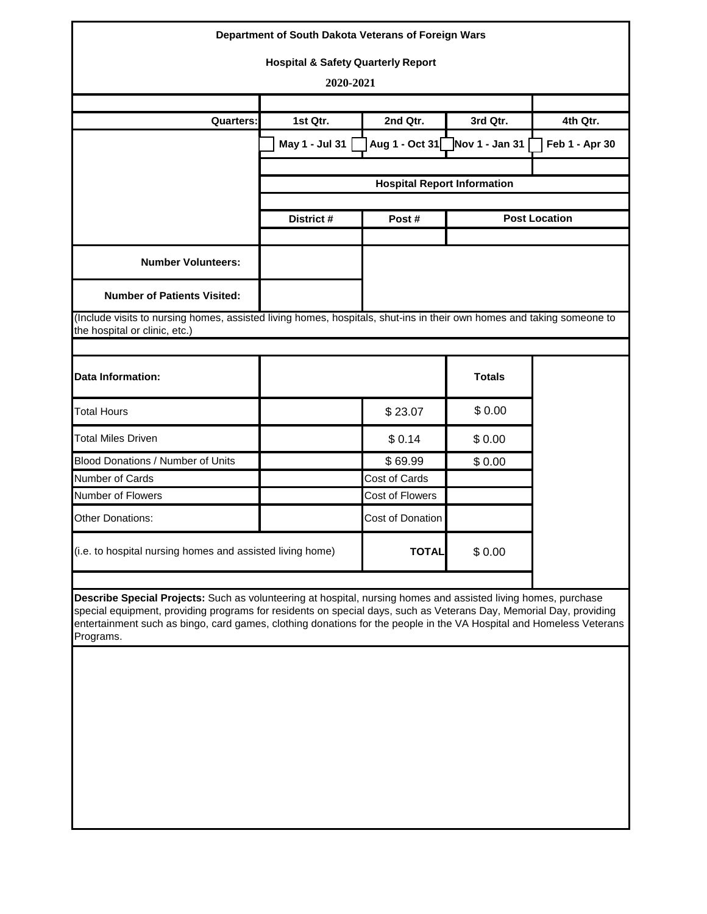|                                                                                                                                                                                                                                                                                                                                                                          | Department of South Dakota Veterans of Foreign Wars |                                    |                               |                |  |  |  |
|--------------------------------------------------------------------------------------------------------------------------------------------------------------------------------------------------------------------------------------------------------------------------------------------------------------------------------------------------------------------------|-----------------------------------------------------|------------------------------------|-------------------------------|----------------|--|--|--|
|                                                                                                                                                                                                                                                                                                                                                                          | <b>Hospital &amp; Safety Quarterly Report</b>       |                                    |                               |                |  |  |  |
|                                                                                                                                                                                                                                                                                                                                                                          | 2020-2021                                           |                                    |                               |                |  |  |  |
|                                                                                                                                                                                                                                                                                                                                                                          |                                                     |                                    |                               |                |  |  |  |
| <b>Quarters:</b>                                                                                                                                                                                                                                                                                                                                                         | 1st Qtr.                                            | 2nd Qtr.                           | 3rd Qtr.                      | 4th Qtr.       |  |  |  |
|                                                                                                                                                                                                                                                                                                                                                                          | May 1 - Jul 31                                      |                                    | Aug 1 - Oct 31 Nov 1 - Jan 31 | Feb 1 - Apr 30 |  |  |  |
|                                                                                                                                                                                                                                                                                                                                                                          |                                                     |                                    |                               |                |  |  |  |
|                                                                                                                                                                                                                                                                                                                                                                          |                                                     | <b>Hospital Report Information</b> |                               |                |  |  |  |
|                                                                                                                                                                                                                                                                                                                                                                          | District #                                          | Post #                             | <b>Post Location</b>          |                |  |  |  |
|                                                                                                                                                                                                                                                                                                                                                                          |                                                     |                                    |                               |                |  |  |  |
| <b>Number Volunteers:</b>                                                                                                                                                                                                                                                                                                                                                |                                                     |                                    |                               |                |  |  |  |
| <b>Number of Patients Visited:</b>                                                                                                                                                                                                                                                                                                                                       |                                                     |                                    |                               |                |  |  |  |
| (Include visits to nursing homes, assisted living homes, hospitals, shut-ins in their own homes and taking someone to<br>the hospital or clinic, etc.)                                                                                                                                                                                                                   |                                                     |                                    |                               |                |  |  |  |
| <b>Data Information:</b>                                                                                                                                                                                                                                                                                                                                                 |                                                     |                                    | <b>Totals</b>                 |                |  |  |  |
| <b>Total Hours</b>                                                                                                                                                                                                                                                                                                                                                       |                                                     | \$23.07                            | \$0.00                        |                |  |  |  |
| <b>Total Miles Driven</b>                                                                                                                                                                                                                                                                                                                                                |                                                     | \$0.14                             | \$0.00                        |                |  |  |  |
| Blood Donations / Number of Units                                                                                                                                                                                                                                                                                                                                        |                                                     | \$69.99                            | \$0.00                        |                |  |  |  |
| Number of Cards                                                                                                                                                                                                                                                                                                                                                          |                                                     | Cost of Cards                      |                               |                |  |  |  |
| Number of Flowers                                                                                                                                                                                                                                                                                                                                                        |                                                     | Cost of Flowers                    |                               |                |  |  |  |
| <b>Other Donations:</b>                                                                                                                                                                                                                                                                                                                                                  |                                                     | Cost of Donation                   |                               |                |  |  |  |
| (i.e. to hospital nursing homes and assisted living home)                                                                                                                                                                                                                                                                                                                |                                                     | <b>TOTAL</b>                       | \$0.00                        |                |  |  |  |
|                                                                                                                                                                                                                                                                                                                                                                          |                                                     |                                    |                               |                |  |  |  |
| Describe Special Projects: Such as volunteering at hospital, nursing homes and assisted living homes, purchase<br>special equipment, providing programs for residents on special days, such as Veterans Day, Memorial Day, providing<br>entertainment such as bingo, card games, clothing donations for the people in the VA Hospital and Homeless Veterans<br>Programs. |                                                     |                                    |                               |                |  |  |  |
|                                                                                                                                                                                                                                                                                                                                                                          |                                                     |                                    |                               |                |  |  |  |